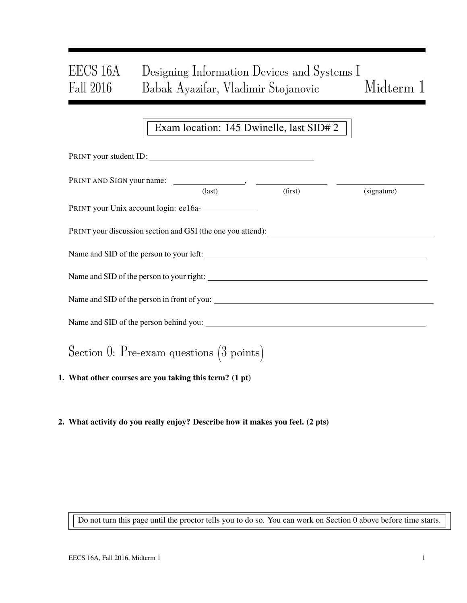# EECS 16A Designing Information Devices and Systems I Fall 2016 Babak Ayazifar, Vladimir Stojanovic Midterm 1

### Exam location: 145 Dwinelle, last SID# 2

| PRINT your student ID:                                 |                 |         |             |  |  |  |
|--------------------------------------------------------|-----------------|---------|-------------|--|--|--|
|                                                        | $\text{(last)}$ | (first) | (signature) |  |  |  |
| PRINT your Unix account login: ee16a-                  |                 |         |             |  |  |  |
|                                                        |                 |         |             |  |  |  |
| Name and SID of the person to your left:               |                 |         |             |  |  |  |
|                                                        |                 |         |             |  |  |  |
|                                                        |                 |         |             |  |  |  |
|                                                        |                 |         |             |  |  |  |
| Section 0: Pre-exam questions $(3 \text{ points})$     |                 |         |             |  |  |  |
| 1. What other courses are you taking this term? (1 pt) |                 |         |             |  |  |  |

2. What activity do you really enjoy? Describe how it makes you feel. (2 pts)

Do not turn this page until the proctor tells you to do so. You can work on Section 0 above before time starts.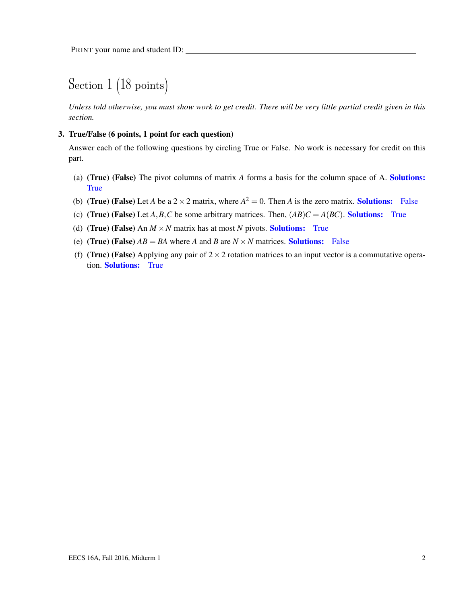# Section 1 (18 points)

*Unless told otherwise, you must show work to get credit. There will be very little partial credit given in this section.*

#### 3. True/False (6 points, 1 point for each question)

Answer each of the following questions by circling True or False. No work is necessary for credit on this part.

- (a) (True) (False) The pivot columns of matrix *A* forms a basis for the column space of A. Solutions: **True**
- (b) (True) (False) Let *A* be a  $2 \times 2$  matrix, where  $A^2 = 0$ . Then *A* is the zero matrix. **Solutions:** False
- (c) (True) (False) Let  $A, B, C$  be some arbitrary matrices. Then,  $(AB)C = A(BC)$ . Solutions: True
- (d) (True) (False) An  $M \times N$  matrix has at most *N* pivots. Solutions: True
- (e) (True) (False)  $AB = BA$  where A and B are  $N \times N$  matrices. Solutions: False
- (f) (True) (False) Applying any pair of  $2 \times 2$  rotation matrices to an input vector is a commutative operation. Solutions: True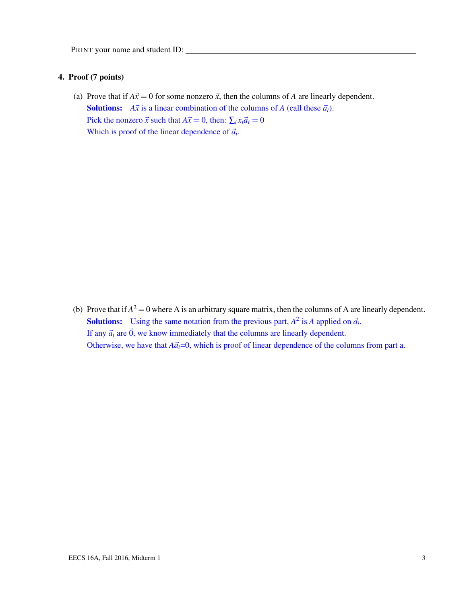#### 4. Proof (7 points)

(a) Prove that if  $A\vec{x} = 0$  for some nonzero  $\vec{x}$ , then the columns of *A* are linearly dependent. **Solutions:** *A* $\vec{x}$  is a linear combination of the columns of *A* (call these  $\vec{a}_i$ ). Pick the nonzero  $\vec{x}$  such that  $A\vec{x} = 0$ , then:  $\sum_i x_i \vec{a}_i = 0$ Which is proof of the linear dependence of  $\vec{a}_i$ .

(b) Prove that if  $A^2 = 0$  where A is an arbitrary square matrix, then the columns of A are linearly dependent. **Solutions:** Using the same notation from the previous part,  $A^2$  is A applied on  $\vec{a}_i$ . If any  $\vec{a}_i$  are  $\vec{0}$ , we know immediately that the columns are linearly dependent. Otherwise, we have that  $A\vec{a}_i=0$ , which is proof of linear dependence of the columns from part a.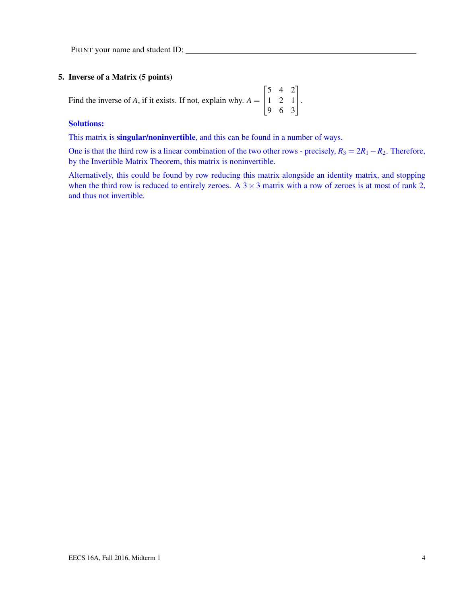#### 5. Inverse of a Matrix (5 points)

Find the inverse of  $A$ , if it exists. If not, explain why.  $A =$  $\sqrt{ }$  $\overline{1}$ 5 4 2 1 2 1 9 6 3 1  $\vert \cdot$ 

#### Solutions:

This matrix is **singular/noninvertible**, and this can be found in a number of ways.

One is that the third row is a linear combination of the two other rows - precisely,  $R_3 = 2R_1 - R_2$ . Therefore, by the Invertible Matrix Theorem, this matrix is noninvertible.

Alternatively, this could be found by row reducing this matrix alongside an identity matrix, and stopping when the third row is reduced to entirely zeroes. A  $3 \times 3$  matrix with a row of zeroes is at most of rank 2, and thus not invertible.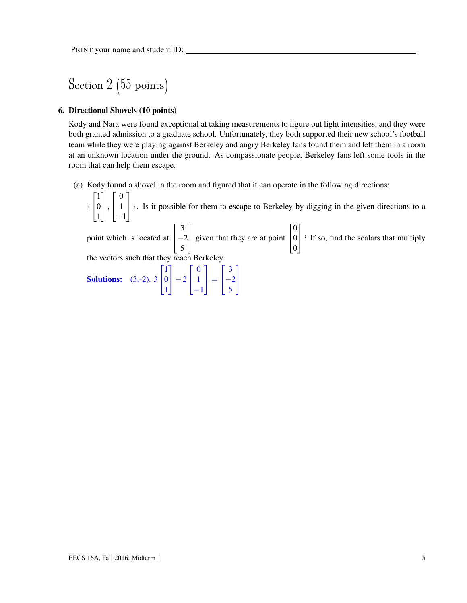Section 2 (55 points)

#### 6. Directional Shovels (10 points)

Kody and Nara were found exceptional at taking measurements to figure out light intensities, and they were both granted admission to a graduate school. Unfortunately, they both supported their new school's football team while they were playing against Berkeley and angry Berkeley fans found them and left them in a room at an unknown location under the ground. As compassionate people, Berkeley fans left some tools in the room that can help them escape.

(a) Kody found a shovel in the room and figured that it can operate in the following directions:

{  $\sqrt{ }$  $\overline{1}$ 1 0 1 1  $\vert$ ,  $\sqrt{ }$  $\overline{1}$ 0 1 −1 1 }. Is it possible for them to escape to Berkeley by digging in the given directions to a point which is located at  $\sqrt{ }$  $\overline{1}$ 3  $-2$ 5 1 given that they are at point  $\sqrt{ }$  $\overline{1}$  $\boldsymbol{0}$ 0 0 1 ? If so, find the scalars that multiply the vectors such that they reach Berkeley. **Solutions:** (3,-2). 3  $\begin{bmatrix} 0 \\ 1 \end{bmatrix}$  $\begin{bmatrix} 1 \\ 0 \end{bmatrix} \begin{bmatrix} 0 \\ 3 \end{bmatrix}$ 1  $\vert -2 \vert 1$ −1  $\Big| = \Big| \frac{-2}{5}$ 5  $\mathbf{I}$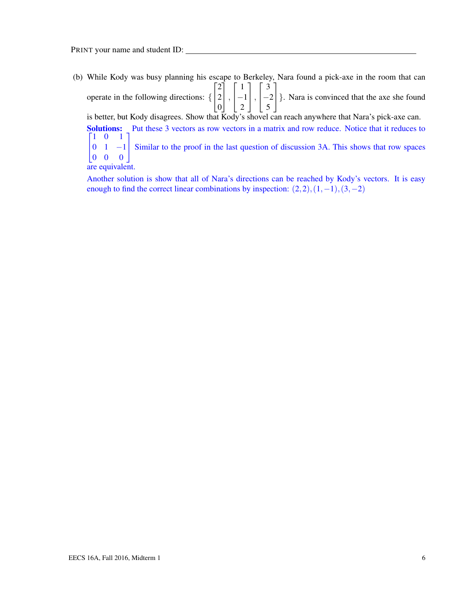(b) While Kody was busy planning his escape to Berkeley, Nara found a pick-axe in the room that can operate in the following directions: {  $\sqrt{ }$  $\overline{1}$ 2 2  $|0|$ 1  $\vert$ ,  $\sqrt{ }$  $\overline{1}$ 1]  $\begin{bmatrix} -1 \end{bmatrix}$ , 2  $\sqrt{ }$  $\overline{1}$ 3] −2 }. Nara is convinced that the axe she found 5 is better, but Kody disagrees. Show that Kody's shovel can reach anywhere that Nara's pick-axe can. Solutions: Put these 3 vectors as row vectors in a matrix and row reduce. Notice that it reduces to  $\begin{bmatrix} 1 & 0 & 1 \end{bmatrix}$  $\overline{1}$  $\begin{vmatrix} 0 & 1 & -1 \end{vmatrix}$ 0 0 0 1  $\begin{bmatrix} -1 \\ 0 \end{bmatrix}$  Similar to the proof in the last question of discussion 3A. This shows that row spaces are equivalent.

Another solution is show that all of Nara's directions can be reached by Kody's vectors. It is easy enough to find the correct linear combinations by inspection:  $(2,2)$ , $(1,-1)$ , $(3,-2)$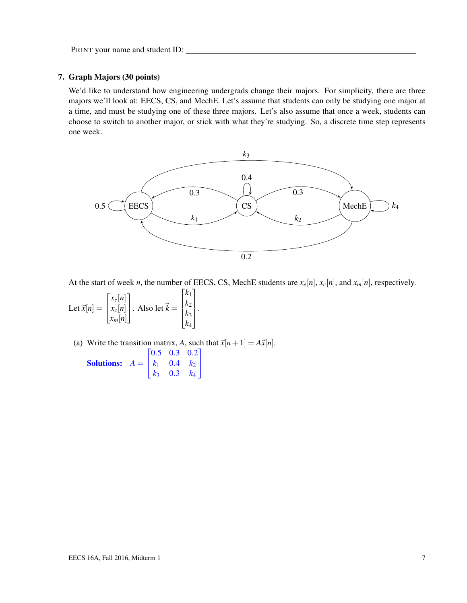#### 7. Graph Majors (30 points)

We'd like to understand how engineering undergrads change their majors. For simplicity, there are three majors we'll look at: EECS, CS, and MechE. Let's assume that students can only be studying one major at a time, and must be studying one of these three majors. Let's also assume that once a week, students can choose to switch to another major, or stick with what they're studying. So, a discrete time step represents one week.



At the start of week *n*, the number of EECS, CS, MechE students are  $x_e[n]$ ,  $x_c[n]$ , and  $x_m[n]$ , respectively.

Let 
$$
\vec{x}[n] = \begin{bmatrix} x_e[n] \\ x_c[n] \\ x_m[n] \end{bmatrix}
$$
. Also let  $\vec{k} = \begin{bmatrix} k_1 \\ k_2 \\ k_3 \\ k_4 \end{bmatrix}$ .

(a) Write the transition matrix, A, such that  $\vec{x}[n+1] = A\vec{x}[n]$ .  $\sqrt{ }$ 0.5 0.3 0.2 1

**Solutions:**  $A =$  $\mathbf{I}$  $k_1$  0.4  $k_2$ *k*<sup>3</sup> 0.3 *k*<sup>4</sup>  $\mathbf{I}$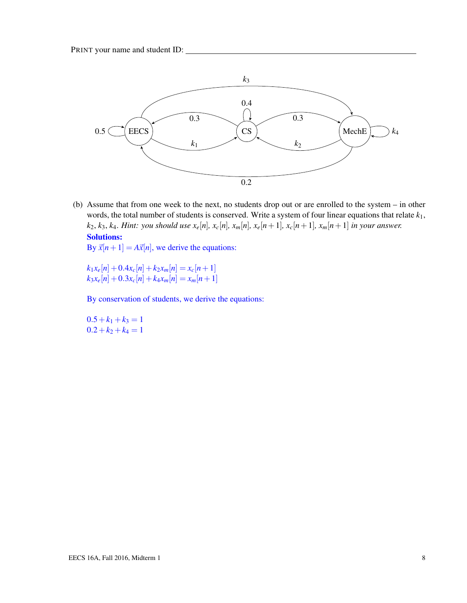

(b) Assume that from one week to the next, no students drop out or are enrolled to the system – in other words, the total number of students is conserved. Write a system of four linear equations that relate *k*1,  $k_2, k_3, k_4$ . Hint: you should use  $x_e[n], x_e[n], x_m[n], x_e[n+1], x_c[n+1], x_m[n+1]$  in your answer. Solutions:

By  $\vec{x}[n+1] = A\vec{x}[n]$ , we derive the equations:

 $k_1x_e[n]+0.4x_c[n]+k_2x_m[n]=x_c[n+1]$  $k_3x_e[n]+0.3x_c[n]+k_4x_m[n]=x_m[n+1]$ 

By conservation of students, we derive the equations:

 $0.5+k_1+k_3=1$  $0.2+k_2+k_4=1$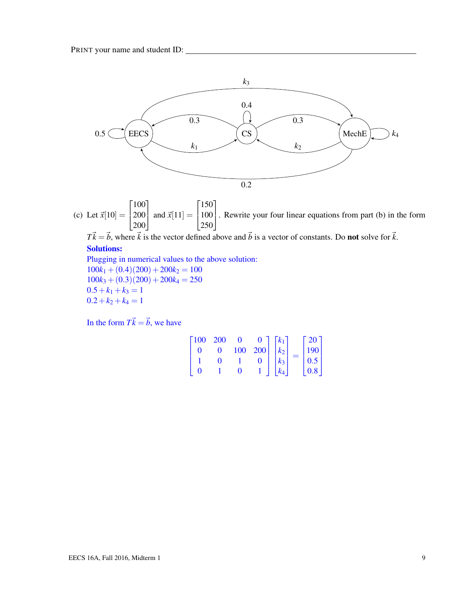

(c) Let  $\vec{x}[10] =$  $\lceil 100 \rceil$  $\overline{1}$  $\begin{vmatrix} 200 \\ 200 \end{vmatrix}$  and  $\vec{x}[11] =$ 200  $\lceil 150 \rceil$  $\overline{1}$ 100 . Rewrite your four linear equations from part (b) in the form 250

 $T\vec{k} = \vec{b}$ , where  $\vec{k}$  is the vector defined above and  $\vec{b}$  is a vector of constants. Do **not** solve for  $\vec{k}$ .

### Solutions:

Plugging in numerical values to the above solution:  $100k_1 + (0.4)(200) + 200k_2 = 100$  $100k_3 + (0.3)(200) + 200k_4 = 250$  $0.5+k_1+k_3=1$  $0.2+k_2+k_4=1$ 

In the form  $T\vec{k} = \vec{b}$ , we have

| $\lceil 100 \rceil$ | - 200 |     |      | $ k_1 $ | $\sqrt{20}$ .     |
|---------------------|-------|-----|------|---------|-------------------|
|                     |       | 100 | 2001 | $k_2$   | $\frac{190}{0.5}$ |
|                     |       |     | 0    | $k_3$   |                   |
|                     |       |     |      | $k_{4}$ | $^{+}$ 0.8 $^{+}$ |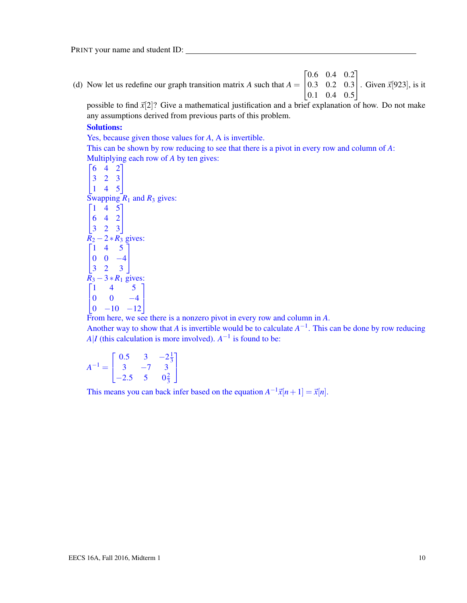(d) Now let us redefine our graph transition matrix *A* such that  $A = \emptyset$  $\begin{bmatrix} 0.6 & 0.4 & 0.2 \end{bmatrix}$  $\begin{bmatrix} 0.5 & 0.2 & 0.5 \\ 0.1 & 0.4 & 0.5 \end{bmatrix}$ 0.3 0.2 0.3 Given  $\vec{x}$ [923], is it

possible to find  $\vec{x}[2]$ ? Give a mathematical justification and a brief explanation of how. Do not make any assumptions derived from previous parts of this problem.

#### Solutions:

Yes, because given those values for *A*, A is invertible.

This can be shown by row reducing to see that there is a pivot in every row and column of *A*: Multiplying each row of *A* by ten gives:

 $\begin{bmatrix} 6 & 4 & 2 \end{bmatrix}$  $\mathbf{I}$ 3 2 3 1 4 5  $\mathbf{I}$ Swapping  $R_1$  and  $R_3$  gives:  $\begin{bmatrix} 1 & 4 & 5 \end{bmatrix}$  $\mathbf{I}$ 6 4 2 3 2 3  $\mathbf{I}$  $\overline{R_2}$  – 2  $*$   $\overline{R_3}$  gives:  $\begin{bmatrix} 1 & 4 & 5 \end{bmatrix}$  $\mathbf{I}$  $0 \t 0 \t -4$ 3 2 3  $\mathbb{I}$  $R_3 - 3 * R_1$  gives:  $\lceil 1 \rceil$  $\begin{vmatrix} 0 & 0 & -4 \\ 0 & -10 & -12 \end{vmatrix}$ 1 4 5  $\begin{vmatrix} 0 & 0 & -4 \end{vmatrix}$ 1

From here, we see there is a nonzero pivot in every row and column in *A*.

Another way to show that *A* is invertible would be to calculate  $A^{-1}$ . This can be done by row reducing *A*|*I* (this calculation is more involved).  $A^{-1}$  is found to be:

$$
A^{-1} = \begin{bmatrix} 0.5 & 3 & -2\frac{1}{3} \\ 3 & -7 & 3 \\ -2.5 & 5 & 0\frac{2}{3} \end{bmatrix}
$$

This means you can back infer based on the equation  $A^{-1}\vec{x}[n+1] = \vec{x}[n]$ .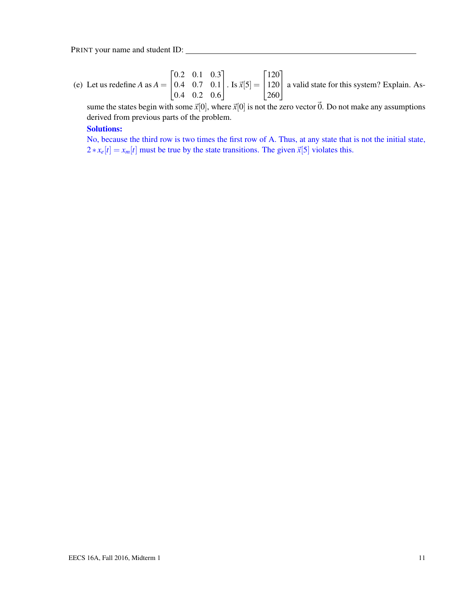(e) Let us redefine *A* as  $A = \begin{bmatrix} 0.4 & 0.7 & 0.1 \\ 0.4 & 0.2 & 0.6 \end{bmatrix}$  $\begin{bmatrix} 0.2 & 0.1 & 0.3 \end{bmatrix}$ 0.4 0.2 0.6  $\left| \cdot \right.$  Is  $\vec{x}[5] = \left| \frac{120}{250} \right|$  $\lceil 120 \rceil$ 260 a valid state for this system? Explain. As-

sume the states begin with some  $\vec{x}[0]$ , where  $\vec{x}[0]$  is not the zero vector  $\vec{0}$ . Do not make any assumptions derived from previous parts of the problem.

#### Solutions:

No, because the third row is two times the first row of A. Thus, at any state that is not the initial state,  $2 * x_e[t] = x_m[t]$  must be true by the state transitions. The given  $\vec{x}[5]$  violates this.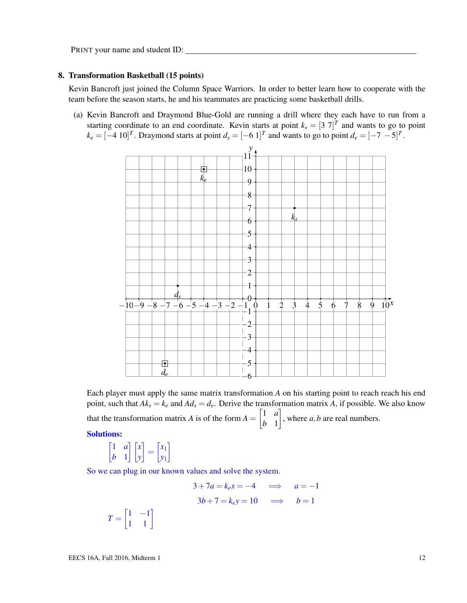#### 8. Transformation Basketball (15 points)

Kevin Bancroft just joined the Column Space Warriors. In order to better learn how to cooperate with the team before the season starts, he and his teammates are practicing some basketball drills.

(a) Kevin Bancroft and Draymond Blue-Gold are running a drill where they each have to run from a starting coordinate to an end coordinate. Kevin starts at point  $k_s = [3 \ 7]^T$  and wants to go to point  $k_e = [-4 \ 10]^T$ . Draymond starts at point  $d_s = [-6 \ 1]^T$  and wants to go to point  $d_e = [-7 \ -5]^T$ .



Each player must apply the same matrix transformation *A* on his starting point to reach reach his end point, such that  $Ak_s = k_e$  and  $Ad_s = d_e$ . Derive the transformation matrix A, if possible. We also know that the transformation matrix *A* is of the form  $A = \begin{bmatrix} 1 & a \\ b & 1 \end{bmatrix}$ *b* 1 , where  $a, b$  are real numbers. Solutions:

$$
\begin{bmatrix} 1 & a \\ b & 1 \end{bmatrix} \begin{bmatrix} x \\ y \end{bmatrix} = \begin{bmatrix} x_1 \\ y_1 \end{bmatrix}
$$

So we can plug in our known values and solve the system.

$$
3+7a = k_e x = -4 \quad \implies \quad a = -1
$$

$$
3b+7 = k_e y = 10 \quad \implies \quad b = 1
$$

$$
T = \begin{bmatrix} 1 & -1 \\ 1 & 1 \end{bmatrix}
$$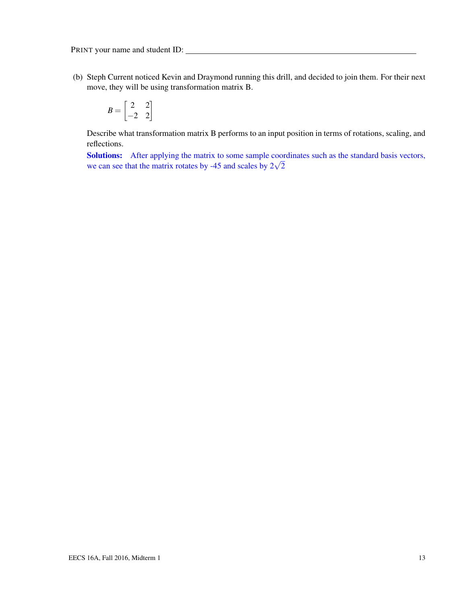(b) Steph Current noticed Kevin and Draymond running this drill, and decided to join them. For their next move, they will be using transformation matrix B.

$$
B = \begin{bmatrix} 2 & 2 \\ -2 & 2 \end{bmatrix}
$$

Describe what transformation matrix B performs to an input position in terms of rotations, scaling, and reflections.

Solutions: After applying the matrix to some sample coordinates such as the standard basis vectors, **Solutions:** After applying the matrix to some sample coor we can see that the matrix rotates by -45 and scales by  $2\sqrt{2}$